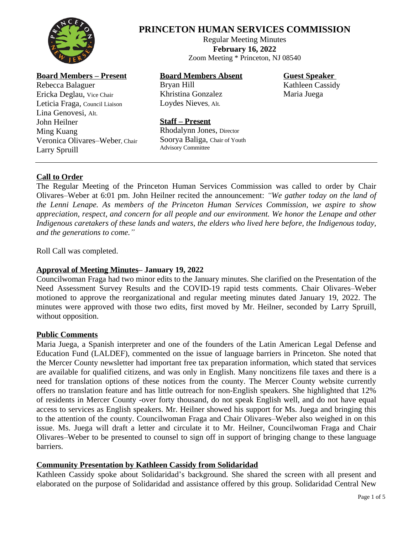

# **PRINCETON HUMAN SERVICES COMMISSION**

Regular Meeting Minutes **February 16, 2022** Zoom Meeting \* Princeton, NJ 08540

## **Board Members – Present**

Rebecca Balaguer Ericka Deglau, Vice Chair Leticia Fraga, Council Liaison Lina Genovesi, Alt. John Heilner Ming Kuang Veronica Olivares–Weber, Chair Larry Spruill

# **Board Members Absent**

Bryan Hill Khristina Gonzalez Loydes Nieves, Alt.

**Guest Speaker**

Kathleen Cassidy Maria Juega

#### **Staff – Present**

Rhodalynn Jones, Director Soorya Baliga, Chair of Youth Advisory Committee

## **Call to Order**

The Regular Meeting of the Princeton Human Services Commission was called to order by Chair Olivares–Weber at 6:01 pm. John Heilner recited the announcement: *"We gather today on the land of the Lenni Lenape. As members of the Princeton Human Services Commission, we aspire to show appreciation, respect, and concern for all people and our environment. We honor the Lenape and other Indigenous caretakers of these lands and waters, the elders who lived here before, the Indigenous today, and the generations to come."*

Roll Call was completed.

## **Approval of Meeting Minutes– January 19, 2022**

Councilwoman Fraga had two minor edits to the January minutes. She clarified on the Presentation of the Need Assessment Survey Results and the COVID-19 rapid tests comments. Chair Olivares–Weber motioned to approve the reorganizational and regular meeting minutes dated January 19, 2022. The minutes were approved with those two edits, first moved by Mr. Heilner, seconded by Larry Spruill, without opposition.

## **Public Comments**

Maria Juega, a Spanish interpreter and one of the founders of the Latin American Legal Defense and Education Fund (LALDEF), commented on the issue of language barriers in Princeton. She noted that the Mercer County newsletter had important free tax preparation information, which stated that services are available for qualified citizens, and was only in English. Many noncitizens file taxes and there is a need for translation options of these notices from the county. The Mercer County website currently offers no translation feature and has little outreach for non-English speakers. She highlighted that 12% of residents in Mercer County -over forty thousand, do not speak English well, and do not have equal access to services as English speakers. Mr. Heilner showed his support for Ms. Juega and bringing this to the attention of the county. Councilwoman Fraga and Chair Olivares–Weber also weighed in on this issue. Ms. Juega will draft a letter and circulate it to Mr. Heilner, Councilwoman Fraga and Chair Olivares–Weber to be presented to counsel to sign off in support of bringing change to these language barriers.

## **Community Presentation by Kathleen Cassidy from Solidaridad**

Kathleen Cassidy spoke about Solidaridad's background. She shared the screen with all present and elaborated on the purpose of Solidaridad and assistance offered by this group. Solidaridad Central New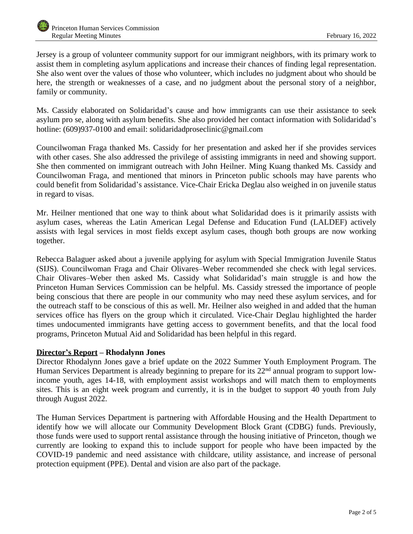Jersey is a group of volunteer community support for our immigrant neighbors, with its primary work to assist them in completing asylum applications and increase their chances of finding legal representation. She also went over the values of those who volunteer, which includes no judgment about who should be here, the strength or weaknesses of a case, and no judgment about the personal story of a neighbor, family or community.

Ms. Cassidy elaborated on Solidaridad's cause and how immigrants can use their assistance to seek asylum pro se, along with asylum benefits. She also provided her contact information with Solidaridad's hotline: (609)937-0100 and email: solidaridadproseclinic@gmail.com

Councilwoman Fraga thanked Ms. Cassidy for her presentation and asked her if she provides services with other cases. She also addressed the privilege of assisting immigrants in need and showing support. She then commented on immigrant outreach with John Heilner. Ming Kuang thanked Ms. Cassidy and Councilwoman Fraga, and mentioned that minors in Princeton public schools may have parents who could benefit from Solidaridad's assistance. Vice-Chair Ericka Deglau also weighed in on juvenile status in regard to visas.

Mr. Heilner mentioned that one way to think about what Solidaridad does is it primarily assists with asylum cases, whereas the Latin American Legal Defense and Education Fund (LALDEF) actively assists with legal services in most fields except asylum cases, though both groups are now working together.

Rebecca Balaguer asked about a juvenile applying for asylum with Special Immigration Juvenile Status (SIJS). Councilwoman Fraga and Chair Olivares–Weber recommended she check with legal services. Chair Olivares–Weber then asked Ms. Cassidy what Solidaridad's main struggle is and how the Princeton Human Services Commission can be helpful. Ms. Cassidy stressed the importance of people being conscious that there are people in our community who may need these asylum services, and for the outreach staff to be conscious of this as well. Mr. Heilner also weighed in and added that the human services office has flyers on the group which it circulated. Vice-Chair Deglau highlighted the harder times undocumented immigrants have getting access to government benefits, and that the local food programs, Princeton Mutual Aid and Solidaridad has been helpful in this regard.

## **Director's Report – Rhodalynn Jones**

Director Rhodalynn Jones gave a brief update on the 2022 Summer Youth Employment Program. The Human Services Department is already beginning to prepare for its 22<sup>nd</sup> annual program to support lowincome youth, ages 14-18, with employment assist workshops and will match them to employments sites. This is an eight week program and currently, it is in the budget to support 40 youth from July through August 2022.

The Human Services Department is partnering with Affordable Housing and the Health Department to identify how we will allocate our Community Development Block Grant (CDBG) funds. Previously, those funds were used to support rental assistance through the housing initiative of Princeton, though we currently are looking to expand this to include support for people who have been impacted by the COVID-19 pandemic and need assistance with childcare, utility assistance, and increase of personal protection equipment (PPE). Dental and vision are also part of the package.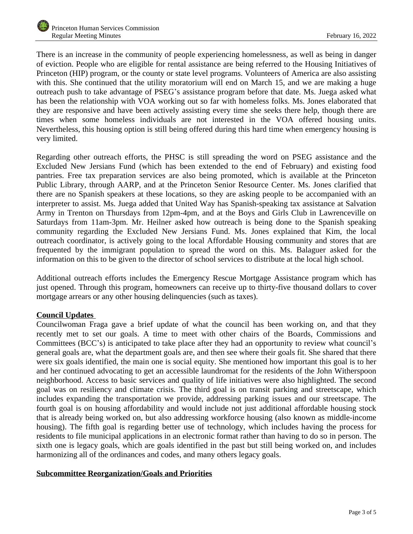There is an increase in the community of people experiencing homelessness, as well as being in danger of eviction. People who are eligible for rental assistance are being referred to the Housing Initiatives of Princeton (HIP) program, or the county or state level programs. Volunteers of America are also assisting with this. She continued that the utility moratorium will end on March 15, and we are making a huge outreach push to take advantage of PSEG's assistance program before that date. Ms. Juega asked what has been the relationship with VOA working out so far with homeless folks. Ms. Jones elaborated that they are responsive and have been actively assisting every time she seeks there help, though there are times when some homeless individuals are not interested in the VOA offered housing units. Nevertheless, this housing option is still being offered during this hard time when emergency housing is very limited.

Regarding other outreach efforts, the PHSC is still spreading the word on PSEG assistance and the Excluded New Jersians Fund (which has been extended to the end of February) and existing food pantries. Free tax preparation services are also being promoted, which is available at the Princeton Public Library, through AARP, and at the Princeton Senior Resource Center. Ms. Jones clarified that there are no Spanish speakers at these locations, so they are asking people to be accompanied with an interpreter to assist. Ms. Juega added that United Way has Spanish-speaking tax assistance at Salvation Army in Trenton on Thursdays from 12pm-4pm, and at the Boys and Girls Club in Lawrenceville on Saturdays from 11am-3pm. Mr. Heilner asked how outreach is being done to the Spanish speaking community regarding the Excluded New Jersians Fund. Ms. Jones explained that Kim, the local outreach coordinator, is actively going to the local Affordable Housing community and stores that are frequented by the immigrant population to spread the word on this. Ms. Balaguer asked for the information on this to be given to the director of school services to distribute at the local high school.

Additional outreach efforts includes the Emergency Rescue Mortgage Assistance program which has just opened. Through this program, homeowners can receive up to thirty-five thousand dollars to cover mortgage arrears or any other housing delinquencies (such as taxes).

## **Council Updates**

Councilwoman Fraga gave a brief update of what the council has been working on, and that they recently met to set our goals. A time to meet with other chairs of the Boards, Commissions and Committees (BCC's) is anticipated to take place after they had an opportunity to review what council's general goals are, what the department goals are, and then see where their goals fit. She shared that there were six goals identified, the main one is social equity. She mentioned how important this goal is to her and her continued advocating to get an accessible laundromat for the residents of the John Witherspoon neighborhood. Access to basic services and quality of life initiatives were also highlighted. The second goal was on resiliency and climate crisis. The third goal is on transit parking and streetscape, which includes expanding the transportation we provide, addressing parking issues and our streetscape. The fourth goal is on housing affordability and would include not just additional affordable housing stock that is already being worked on, but also addressing workforce housing (also known as middle-income housing). The fifth goal is regarding better use of technology, which includes having the process for residents to file municipal applications in an electronic format rather than having to do so in person. The sixth one is legacy goals, which are goals identified in the past but still being worked on, and includes harmonizing all of the ordinances and codes, and many others legacy goals.

## **Subcommittee Reorganization/Goals and Priorities**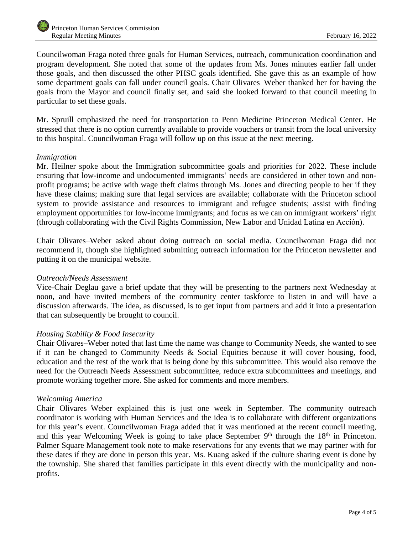Councilwoman Fraga noted three goals for Human Services, outreach, communication coordination and program development. She noted that some of the updates from Ms. Jones minutes earlier fall under those goals, and then discussed the other PHSC goals identified. She gave this as an example of how some department goals can fall under council goals. Chair Olivares–Weber thanked her for having the goals from the Mayor and council finally set, and said she looked forward to that council meeting in particular to set these goals.

Mr. Spruill emphasized the need for transportation to Penn Medicine Princeton Medical Center. He stressed that there is no option currently available to provide vouchers or transit from the local university to this hospital. Councilwoman Fraga will follow up on this issue at the next meeting.

## *Immigration*

Mr. Heilner spoke about the Immigration subcommittee goals and priorities for 2022. These include ensuring that low-income and undocumented immigrants' needs are considered in other town and nonprofit programs; be active with wage theft claims through Ms. Jones and directing people to her if they have these claims; making sure that legal services are available; collaborate with the Princeton school system to provide assistance and resources to immigrant and refugee students; assist with finding employment opportunities for low-income immigrants; and focus as we can on immigrant workers' right (through collaborating with the Civil Rights Commission, New Labor and Unidad Latina en Acción).

Chair Olivares–Weber asked about doing outreach on social media. Councilwoman Fraga did not recommend it, though she highlighted submitting outreach information for the Princeton newsletter and putting it on the municipal website.

#### *Outreach/Needs Assessment*

Vice-Chair Deglau gave a brief update that they will be presenting to the partners next Wednesday at noon, and have invited members of the community center taskforce to listen in and will have a discussion afterwards. The idea, as discussed, is to get input from partners and add it into a presentation that can subsequently be brought to council.

## *Housing Stability & Food Insecurity*

Chair Olivares–Weber noted that last time the name was change to Community Needs, she wanted to see if it can be changed to Community Needs & Social Equities because it will cover housing, food, education and the rest of the work that is being done by this subcommittee. This would also remove the need for the Outreach Needs Assessment subcommittee, reduce extra subcommittees and meetings, and promote working together more. She asked for comments and more members.

#### *Welcoming America*

Chair Olivares–Weber explained this is just one week in September. The community outreach coordinator is working with Human Services and the idea is to collaborate with different organizations for this year's event. Councilwoman Fraga added that it was mentioned at the recent council meeting, and this year Welcoming Week is going to take place September 9<sup>th</sup> through the 18<sup>th</sup> in Princeton. Palmer Square Management took note to make reservations for any events that we may partner with for these dates if they are done in person this year. Ms. Kuang asked if the culture sharing event is done by the township. She shared that families participate in this event directly with the municipality and nonprofits.